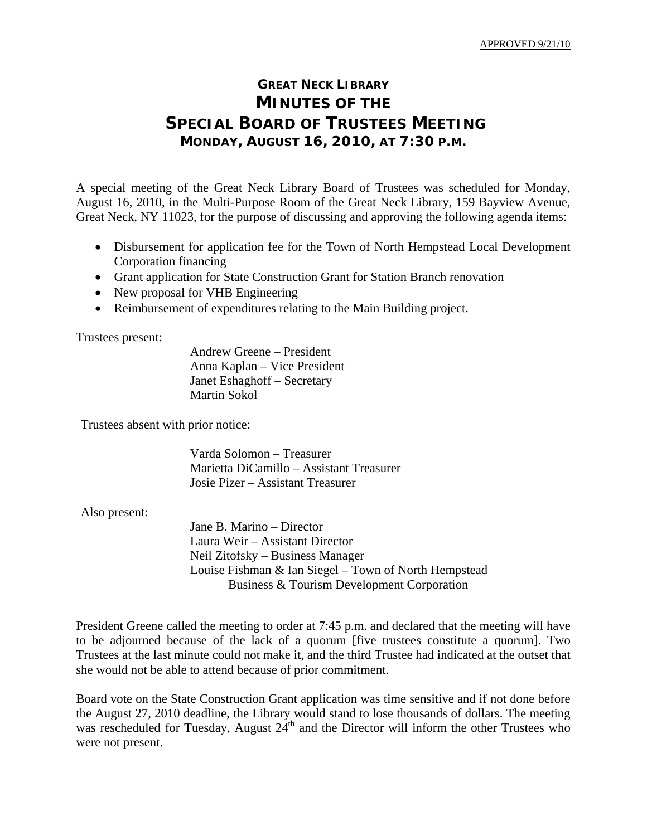## **GREAT NECK LIBRARY MINUTES OF THE SPECIAL BOARD OF TRUSTEES MEETING MONDAY, AUGUST 16, 2010, AT 7:30 P.M.**

A special meeting of the Great Neck Library Board of Trustees was scheduled for Monday, August 16, 2010, in the Multi-Purpose Room of the Great Neck Library, 159 Bayview Avenue, Great Neck, NY 11023, for the purpose of discussing and approving the following agenda items:

- Disbursement for application fee for the Town of North Hempstead Local Development Corporation financing
- Grant application for State Construction Grant for Station Branch renovation
- New proposal for VHB Engineering
- Reimbursement of expenditures relating to the Main Building project.

Trustees present:

 Andrew Greene – President Anna Kaplan – Vice President Janet Eshaghoff – Secretary Martin Sokol

Trustees absent with prior notice:

 Varda Solomon – Treasurer Marietta DiCamillo – Assistant Treasurer Josie Pizer – Assistant Treasurer

Also present:

 Jane B. Marino – Director Laura Weir – Assistant Director Neil Zitofsky – Business Manager Louise Fishman & Ian Siegel – Town of North Hempstead Business & Tourism Development Corporation

President Greene called the meeting to order at 7:45 p.m. and declared that the meeting will have to be adjourned because of the lack of a quorum [five trustees constitute a quorum]. Two Trustees at the last minute could not make it, and the third Trustee had indicated at the outset that she would not be able to attend because of prior commitment.

Board vote on the State Construction Grant application was time sensitive and if not done before the August 27, 2010 deadline, the Library would stand to lose thousands of dollars. The meeting was rescheduled for Tuesday, August  $24<sup>th</sup>$  and the Director will inform the other Trustees who were not present.